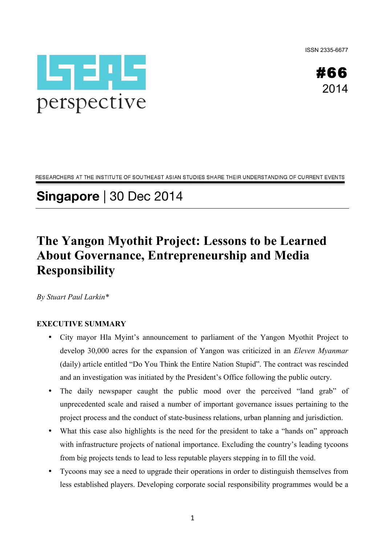ISSN 2335-6677



#66 2014

RESEARCHERS AT THE INSTITUTE OF SOUTHEAST ASIAN STUDIES SHARE THEIR UNDERSTANDING OF CURRENT EVENTS

# **Singapore** | 30 Dec 2014

## **The Yangon Myothit Project: Lessons to be Learned About Governance, Entrepreneurship and Media Responsibility**

*By Stuart Paul Larkin\**

#### **EXECUTIVE SUMMARY**

- City mayor Hla Myint's announcement to parliament of the Yangon Myothit Project to develop 30,000 acres for the expansion of Yangon was criticized in an *Eleven Myanmar* (daily) article entitled "Do You Think the Entire Nation Stupid". The contract was rescinded and an investigation was initiated by the President's Office following the public outcry.
- The daily newspaper caught the public mood over the perceived "land grab" of unprecedented scale and raised a number of important governance issues pertaining to the project process and the conduct of state-business relations, urban planning and jurisdiction.
- What this case also highlights is the need for the president to take a "hands on" approach with infrastructure projects of national importance. Excluding the country's leading tycoons from big projects tends to lead to less reputable players stepping in to fill the void.
- Tycoons may see a need to upgrade their operations in order to distinguish themselves from less established players. Developing corporate social responsibility programmes would be a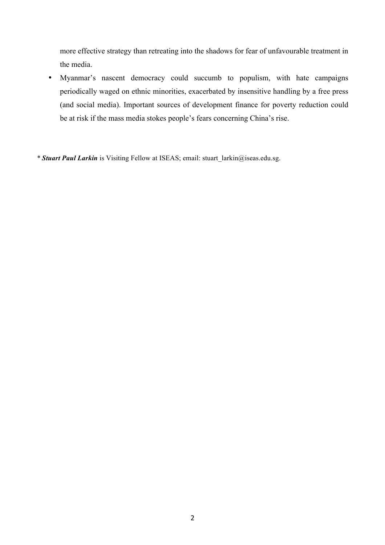more effective strategy than retreating into the shadows for fear of unfavourable treatment in the media.

• Myanmar's nascent democracy could succumb to populism, with hate campaigns periodically waged on ethnic minorities, exacerbated by insensitive handling by a free press (and social media). Important sources of development finance for poverty reduction could be at risk if the mass media stokes people's fears concerning China's rise.

*\* Stuart Paul Larkin* is Visiting Fellow at ISEAS; email: stuart\_larkin@iseas.edu.sg.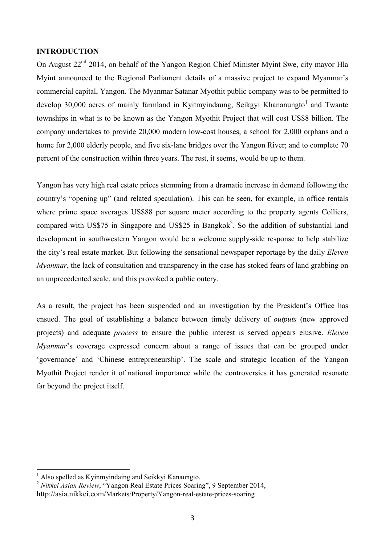#### **INTRODUCTION**

On August  $22<sup>nd</sup>$  2014, on behalf of the Yangon Region Chief Minister Myint Swe, city mayor Hla Myint announced to the Regional Parliament details of a massive project to expand Myanmar's commercial capital, Yangon. The Myanmar Satanar Myothit public company was to be permitted to develop 30,000 acres of mainly farmland in Kyitmyindaung, Seikgyi Khananungto<sup>1</sup> and Twante townships in what is to be known as the Yangon Myothit Project that will cost US\$8 billion. The company undertakes to provide 20,000 modern low-cost houses, a school for 2,000 orphans and a home for 2,000 elderly people, and five six-lane bridges over the Yangon River; and to complete 70 percent of the construction within three years. The rest, it seems, would be up to them.

Yangon has very high real estate prices stemming from a dramatic increase in demand following the country's "opening up" (and related speculation). This can be seen, for example, in office rentals where prime space averages US\$88 per square meter according to the property agents Colliers, compared with US\$75 in Singapore and US\$25 in Bangkok<sup>2</sup>. So the addition of substantial land development in southwestern Yangon would be a welcome supply-side response to help stabilize the city's real estate market. But following the sensational newspaper reportage by the daily *Eleven Myanmar*, the lack of consultation and transparency in the case has stoked fears of land grabbing on an unprecedented scale, and this provoked a public outcry.

As a result, the project has been suspended and an investigation by the President's Office has ensued. The goal of establishing a balance between timely delivery of *outputs* (new approved projects) and adequate *process* to ensure the public interest is served appears elusive. *Eleven Myanmar*'s coverage expressed concern about a range of issues that can be grouped under 'governance' and 'Chinese entrepreneurship'. The scale and strategic location of the Yangon Myothit Project render it of national importance while the controversies it has generated resonate far beyond the project itself.

<u> 1989 - Johann Stein, marwolaethau a bh</u>

<sup>&</sup>lt;sup>1</sup> Also spelled as Kyinmyindaing and Seikkyi Kanaungto.

<sup>2</sup> *Nikkei Asian Review*, "Yangon Real Estate Prices Soaring", 9 September 2014, http://asia.nikkei.com/Markets/Property/Yangon-real-estate-prices-soaring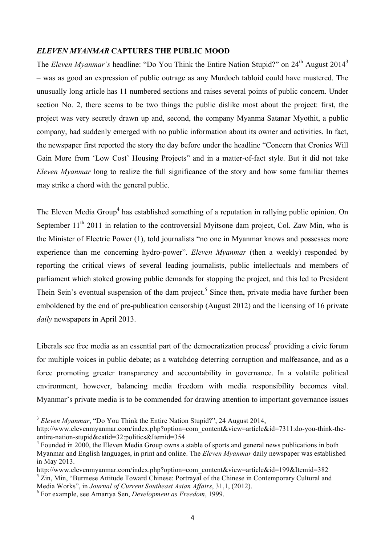#### *ELEVEN MYANMAR* **CAPTURES THE PUBLIC MOOD**

The *Eleven Myanmar's* headline: "Do You Think the Entire Nation Stupid?" on 24<sup>th</sup> August 2014<sup>3</sup> – was as good an expression of public outrage as any Murdoch tabloid could have mustered. The unusually long article has 11 numbered sections and raises several points of public concern. Under section No. 2, there seems to be two things the public dislike most about the project: first, the project was very secretly drawn up and, second, the company Myanma Satanar Myothit, a public company, had suddenly emerged with no public information about its owner and activities. In fact, the newspaper first reported the story the day before under the headline "Concern that Cronies Will Gain More from 'Low Cost' Housing Projects" and in a matter-of-fact style. But it did not take *Eleven Myanmar* long to realize the full significance of the story and how some familiar themes may strike a chord with the general public.

The Eleven Media Group<sup>4</sup> has established something of a reputation in rallying public opinion. On September  $11<sup>th</sup>$  2011 in relation to the controversial Myitsone dam project, Col. Zaw Min, who is the Minister of Electric Power (1), told journalists "no one in Myanmar knows and possesses more experience than me concerning hydro-power". *Eleven Myanmar* (then a weekly) responded by reporting the critical views of several leading journalists, public intellectuals and members of parliament which stoked growing public demands for stopping the project, and this led to President Thein Sein's eventual suspension of the dam project.<sup>5</sup> Since then, private media have further been emboldened by the end of pre-publication censorship (August 2012) and the licensing of 16 private *daily* newspapers in April 2013.

Liberals see free media as an essential part of the democratization process<sup>6</sup> providing a civic forum for multiple voices in public debate; as a watchdog deterring corruption and malfeasance, and as a force promoting greater transparency and accountability in governance. In a volatile political environment, however, balancing media freedom with media responsibility becomes vital. Myanmar's private media is to be commended for drawing attention to important governance issues

<u> 1989 - Johann Stein, marwolaethau a bh</u>

<sup>&</sup>lt;sup>3</sup> Eleven Myanmar, "Do You Think the Entire Nation Stupid?", 24 August 2014,

http://www.elevenmyanmar.com/index.php?option=com\_content&view=article&id=7311:do-you-think-theentire-nation-stupid&catid=32:politics&Itemid=354

<sup>&</sup>lt;sup>4</sup> Founded in 2000, the Eleven Media Group owns a stable of sports and general news publications in both Myanmar and English languages, in print and online. The *Eleven Myanmar* daily newspaper was established in May 2013.

http://www.elevenmyanmar.com/index.php?option=com\_content&view=article&id=199&Itemid=382  $5 \text{ Zin}$ , Min, "Burmese Attitude Toward Chinese: Portrayal of the Chinese in Contemporary Cultural and

Media Works", in *Journal of Current Southeast Asian Affairs*, 31,1, (2012).

<sup>6</sup> For example, see Amartya Sen, *Development as Freedom*, 1999.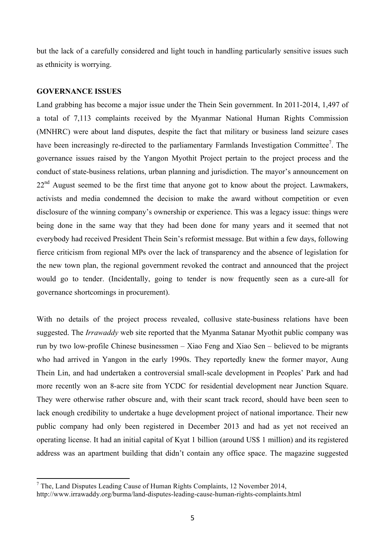but the lack of a carefully considered and light touch in handling particularly sensitive issues such as ethnicity is worrying.

#### **GOVERNANCE ISSUES**

<u> 1989 - Johann Stein, marwolaethau a bh</u>

Land grabbing has become a major issue under the Thein Sein government. In 2011-2014, 1,497 of a total of 7,113 complaints received by the Myanmar National Human Rights Commission (MNHRC) were about land disputes, despite the fact that military or business land seizure cases have been increasingly re-directed to the parliamentary Farmlands Investigation Committee<sup>7</sup>. The governance issues raised by the Yangon Myothit Project pertain to the project process and the conduct of state-business relations, urban planning and jurisdiction. The mayor's announcement on  $22<sup>nd</sup>$  August seemed to be the first time that anyone got to know about the project. Lawmakers, activists and media condemned the decision to make the award without competition or even disclosure of the winning company's ownership or experience. This was a legacy issue: things were being done in the same way that they had been done for many years and it seemed that not everybody had received President Thein Sein's reformist message. But within a few days, following fierce criticism from regional MPs over the lack of transparency and the absence of legislation for the new town plan, the regional government revoked the contract and announced that the project would go to tender. (Incidentally, going to tender is now frequently seen as a cure-all for governance shortcomings in procurement).

With no details of the project process revealed, collusive state-business relations have been suggested. The *Irrawaddy* web site reported that the Myanma Satanar Myothit public company was run by two low-profile Chinese businessmen – Xiao Feng and Xiao Sen – believed to be migrants who had arrived in Yangon in the early 1990s. They reportedly knew the former mayor, Aung Thein Lin, and had undertaken a controversial small-scale development in Peoples' Park and had more recently won an 8-acre site from YCDC for residential development near Junction Square. They were otherwise rather obscure and, with their scant track record, should have been seen to lack enough credibility to undertake a huge development project of national importance. Their new public company had only been registered in December 2013 and had as yet not received an operating license. It had an initial capital of Kyat 1 billion (around US\$ 1 million) and its registered address was an apartment building that didn't contain any office space. The magazine suggested

 $7$  The, Land Disputes Leading Cause of Human Rights Complaints, 12 November 2014, http://www.irrawaddy.org/burma/land-disputes-leading-cause-human-rights-complaints.html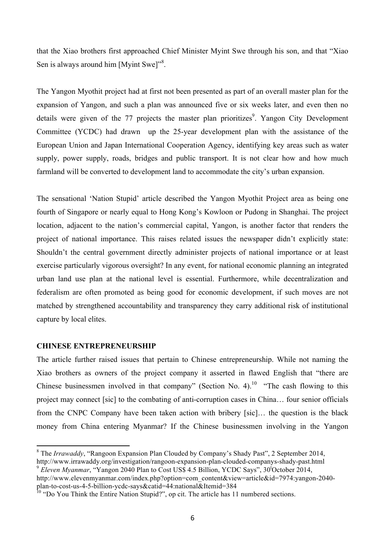that the Xiao brothers first approached Chief Minister Myint Swe through his son, and that "Xiao Sen is always around him [Myint Swe]"<sup>8</sup>.

The Yangon Myothit project had at first not been presented as part of an overall master plan for the expansion of Yangon, and such a plan was announced five or six weeks later, and even then no details were given of the 77 projects the master plan prioritizes<sup>9</sup>. Yangon City Development Committee (YCDC) had drawn up the 25-year development plan with the assistance of the European Union and Japan International Cooperation Agency, identifying key areas such as water supply, power supply, roads, bridges and public transport. It is not clear how and how much farmland will be converted to development land to accommodate the city's urban expansion.

The sensational 'Nation Stupid' article described the Yangon Myothit Project area as being one fourth of Singapore or nearly equal to Hong Kong's Kowloon or Pudong in Shanghai. The project location, adjacent to the nation's commercial capital, Yangon, is another factor that renders the project of national importance. This raises related issues the newspaper didn't explicitly state: Shouldn't the central government directly administer projects of national importance or at least exercise particularly vigorous oversight? In any event, for national economic planning an integrated urban land use plan at the national level is essential. Furthermore, while decentralization and federalism are often promoted as being good for economic development, if such moves are not matched by strengthened accountability and transparency they carry additional risk of institutional capture by local elites.

#### **CHINESE ENTREPRENEURSHIP**

<u> 1989 - Johann Stein, marwolaethau a bh</u>

The article further raised issues that pertain to Chinese entrepreneurship. While not naming the Xiao brothers as owners of the project company it asserted in flawed English that "there are Chinese businessmen involved in that company" (Section No. 4).<sup>10</sup> "The cash flowing to this project may connect [sic] to the combating of anti-corruption cases in China… four senior officials from the CNPC Company have been taken action with bribery [sic]… the question is the black money from China entering Myanmar? If the Chinese businessmen involving in the Yangon

<sup>&</sup>lt;sup>8</sup> The *Irrawaddy*, "Rangoon Expansion Plan Clouded by Company's Shady Past", 2 September 2014, http://www.irrawaddy.org/investigation/rangoon-expansion-plan-clouded-companys-shady-past.html<br><sup>9</sup> *Eleven Myanmar*, "Yangon 2040 Plan to Cost US\$ 4.5 Billion, YCDC Says", 30<sup>t</sup>October 2014,

http://www.elevenmyanmar.com/index.php?option=com\_content&view=article&id=7974:yangon-2040 plan-to-cost-us-4-5-billion-ycdc-says&catid=44:national&Itemid=384

<sup>&</sup>lt;sup>10</sup> "Do You Think the Entire Nation Stupid?", op cit. The article has 11 numbered sections.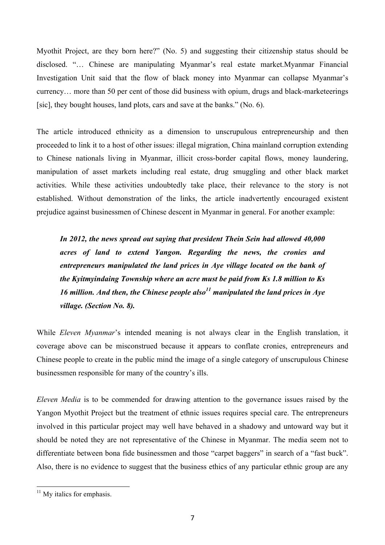Myothit Project, are they born here?" (No. 5) and suggesting their citizenship status should be disclosed. "… Chinese are manipulating Myanmar's real estate market.Myanmar Financial Investigation Unit said that the flow of black money into Myanmar can collapse Myanmar's currency… more than 50 per cent of those did business with opium, drugs and black-marketeerings [sic], they bought houses, land plots, cars and save at the banks." (No. 6).

The article introduced ethnicity as a dimension to unscrupulous entrepreneurship and then proceeded to link it to a host of other issues: illegal migration, China mainland corruption extending to Chinese nationals living in Myanmar, illicit cross-border capital flows, money laundering, manipulation of asset markets including real estate, drug smuggling and other black market activities. While these activities undoubtedly take place, their relevance to the story is not established. Without demonstration of the links, the article inadvertently encouraged existent prejudice against businessmen of Chinese descent in Myanmar in general. For another example:

*In 2012, the news spread out saying that president Thein Sein had allowed 40,000 acres of land to extend Yangon. Regarding the news, the cronies and entrepreneurs manipulated the land prices in Aye village located on the bank of the Kyitmyindaing Township where an acre must be paid from Ks 1.8 million to Ks 16 million. And then, the Chinese people also*<sup> $11$ </sup> manipulated the land prices in Aye *village. (Section No. 8).* 

While *Eleven Myanmar*'s intended meaning is not always clear in the English translation, it coverage above can be misconstrued because it appears to conflate cronies, entrepreneurs and Chinese people to create in the public mind the image of a single category of unscrupulous Chinese businessmen responsible for many of the country's ills.

*Eleven Media* is to be commended for drawing attention to the governance issues raised by the Yangon Myothit Project but the treatment of ethnic issues requires special care. The entrepreneurs involved in this particular project may well have behaved in a shadowy and untoward way but it should be noted they are not representative of the Chinese in Myanmar. The media seem not to differentiate between bona fide businessmen and those "carpet baggers" in search of a "fast buck". Also, there is no evidence to suggest that the business ethics of any particular ethnic group are any

 $11$  My italics for emphasis.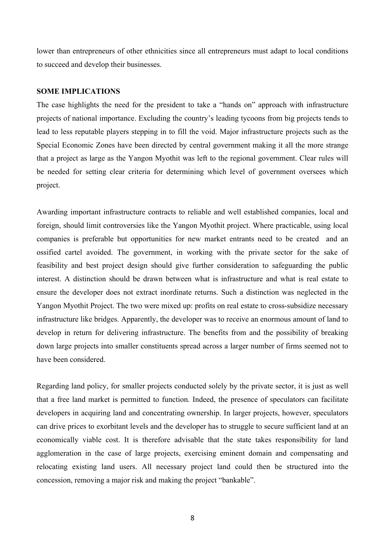lower than entrepreneurs of other ethnicities since all entrepreneurs must adapt to local conditions to succeed and develop their businesses.

#### **SOME IMPLICATIONS**

The case highlights the need for the president to take a "hands on" approach with infrastructure projects of national importance. Excluding the country's leading tycoons from big projects tends to lead to less reputable players stepping in to fill the void. Major infrastructure projects such as the Special Economic Zones have been directed by central government making it all the more strange that a project as large as the Yangon Myothit was left to the regional government. Clear rules will be needed for setting clear criteria for determining which level of government oversees which project.

Awarding important infrastructure contracts to reliable and well established companies, local and foreign, should limit controversies like the Yangon Myothit project. Where practicable, using local companies is preferable but opportunities for new market entrants need to be created and an ossified cartel avoided. The government, in working with the private sector for the sake of feasibility and best project design should give further consideration to safeguarding the public interest. A distinction should be drawn between what is infrastructure and what is real estate to ensure the developer does not extract inordinate returns. Such a distinction was neglected in the Yangon Myothit Project. The two were mixed up: profits on real estate to cross-subsidize necessary infrastructure like bridges. Apparently, the developer was to receive an enormous amount of land to develop in return for delivering infrastructure. The benefits from and the possibility of breaking down large projects into smaller constituents spread across a larger number of firms seemed not to have been considered.

Regarding land policy, for smaller projects conducted solely by the private sector, it is just as well that a free land market is permitted to function. Indeed, the presence of speculators can facilitate developers in acquiring land and concentrating ownership. In larger projects, however, speculators can drive prices to exorbitant levels and the developer has to struggle to secure sufficient land at an economically viable cost. It is therefore advisable that the state takes responsibility for land agglomeration in the case of large projects, exercising eminent domain and compensating and relocating existing land users. All necessary project land could then be structured into the concession, removing a major risk and making the project "bankable".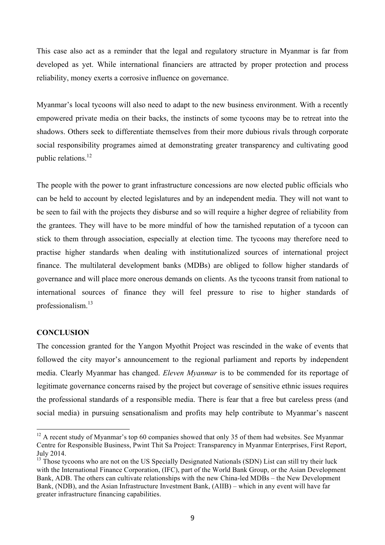This case also act as a reminder that the legal and regulatory structure in Myanmar is far from developed as yet. While international financiers are attracted by proper protection and process reliability, money exerts a corrosive influence on governance.

Myanmar's local tycoons will also need to adapt to the new business environment. With a recently empowered private media on their backs, the instincts of some tycoons may be to retreat into the shadows. Others seek to differentiate themselves from their more dubious rivals through corporate social responsibility programes aimed at demonstrating greater transparency and cultivating good public relations.12

The people with the power to grant infrastructure concessions are now elected public officials who can be held to account by elected legislatures and by an independent media. They will not want to be seen to fail with the projects they disburse and so will require a higher degree of reliability from the grantees. They will have to be more mindful of how the tarnished reputation of a tycoon can stick to them through association, especially at election time. The tycoons may therefore need to practise higher standards when dealing with institutionalized sources of international project finance. The multilateral development banks (MDBs) are obliged to follow higher standards of governance and will place more onerous demands on clients. As the tycoons transit from national to international sources of finance they will feel pressure to rise to higher standards of professionalism.13

#### **CONCLUSION**

<u> 1989 - Johann Stein, marwolaethau a bh</u>

The concession granted for the Yangon Myothit Project was rescinded in the wake of events that followed the city mayor's announcement to the regional parliament and reports by independent media. Clearly Myanmar has changed. *Eleven Myanmar* is to be commended for its reportage of legitimate governance concerns raised by the project but coverage of sensitive ethnic issues requires the professional standards of a responsible media. There is fear that a free but careless press (and social media) in pursuing sensationalism and profits may help contribute to Myanmar's nascent

 $12$  A recent study of Myanmar's top 60 companies showed that only 35 of them had websites. See Myanmar Centre for Responsible Business, Pwint Thit Sa Project: Transparency in Myanmar Enterprises, First Report, July 2014.

<sup>&</sup>lt;sup>13</sup> Those tycoons who are not on the US Specially Designated Nationals (SDN) List can still try their luck with the International Finance Corporation, (IFC), part of the World Bank Group, or the Asian Development Bank, ADB. The others can cultivate relationships with the new China-led MDBs – the New Development Bank, (NDB), and the Asian Infrastructure Investment Bank, (AIIB) – which in any event will have far greater infrastructure financing capabilities.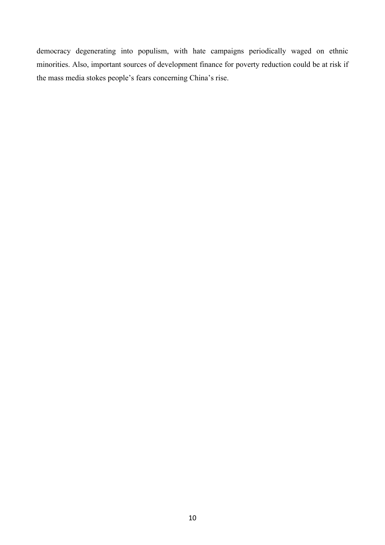democracy degenerating into populism, with hate campaigns periodically waged on ethnic minorities. Also, important sources of development finance for poverty reduction could be at risk if the mass media stokes people's fears concerning China's rise.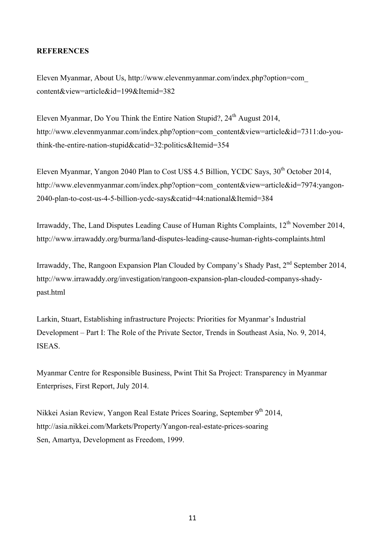### **REFERENCES**

Eleven Myanmar, About Us, http://www.elevenmyanmar.com/index.php?option=com\_ content&view=article&id=199&Itemid=382

Eleven Myanmar, Do You Think the Entire Nation Stupid?,  $24<sup>th</sup>$  August 2014, http://www.elevenmyanmar.com/index.php?option=com\_content&view=article&id=7311:do-youthink-the-entire-nation-stupid&catid=32:politics&Itemid=354

Eleven Myanmar, Yangon 2040 Plan to Cost US\$ 4.5 Billion, YCDC Says, 30<sup>th</sup> October 2014, http://www.elevenmyanmar.com/index.php?option=com\_content&view=article&id=7974:yangon-2040-plan-to-cost-us-4-5-billion-ycdc-says&catid=44:national&Itemid=384

Irrawaddy, The, Land Disputes Leading Cause of Human Rights Complaints, 12<sup>th</sup> November 2014, http://www.irrawaddy.org/burma/land-disputes-leading-cause-human-rights-complaints.html

Irrawaddy, The, Rangoon Expansion Plan Clouded by Company's Shady Past, 2<sup>nd</sup> September 2014, http://www.irrawaddy.org/investigation/rangoon-expansion-plan-clouded-companys-shadypast.html

Larkin, Stuart, Establishing infrastructure Projects: Priorities for Myanmar's Industrial Development – Part I: The Role of the Private Sector, Trends in Southeast Asia, No. 9, 2014, **ISEAS** 

Myanmar Centre for Responsible Business, Pwint Thit Sa Project: Transparency in Myanmar Enterprises, First Report, July 2014.

Nikkei Asian Review, Yangon Real Estate Prices Soaring, September 9<sup>th</sup> 2014, http://asia.nikkei.com/Markets/Property/Yangon-real-estate-prices-soaring Sen, Amartya, Development as Freedom, 1999.